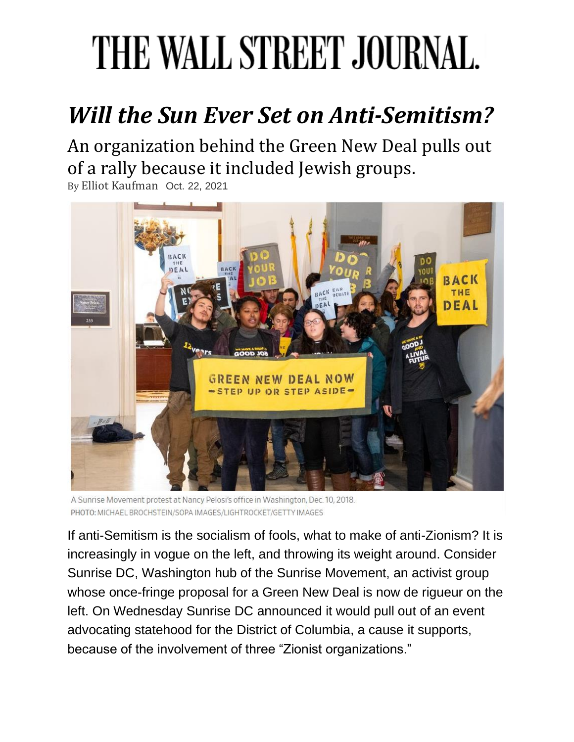## THE WALL STREET JOURNAL.

## *Will the Sun Ever Set on Anti-Semitism?*

An organization behind the Green New Deal pulls out of a rally because it included Jewish groups.

By Elliot Kaufman Oct. 22, 2021



A Sunrise Movement protest at Nancy Pelosi's office in Washington, Dec. 10, 2018. PHOTO: MICHAEL BROCHSTEIN/SOPA IMAGES/LIGHTROCKET/GETTY IMAGES

If anti-Semitism is the socialism of fools, what to make of anti-Zionism? It is increasingly in vogue on the left, and throwing its weight around. Consider Sunrise DC, Washington hub of the Sunrise Movement, an activist group whose once-fringe proposal for a Green New Deal is now de rigueur on the left. On Wednesday Sunrise DC [announced](http://wsj.com/public/resources/documents/SunriseDC.jpg) it would pull out of an event advocating statehood for the District of Columbia, a cause it supports, because of the involvement of three "Zionist organizations."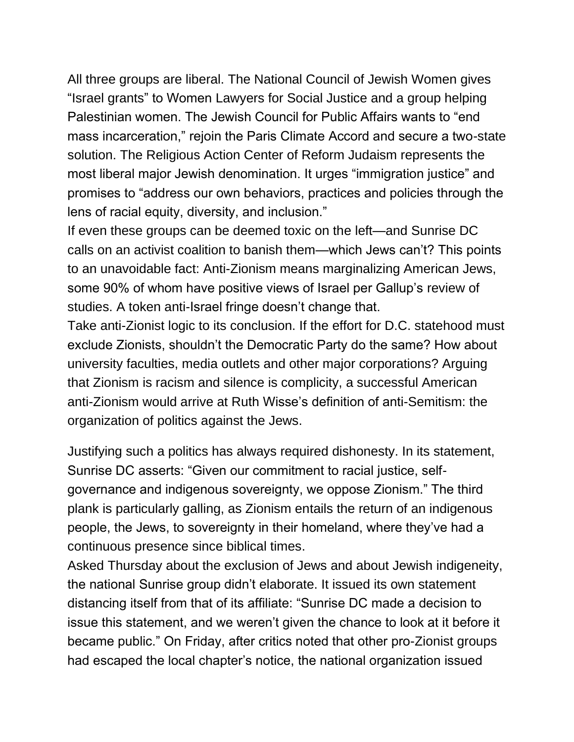All three groups are liberal. The National Council of Jewish Women gives ["Israel grants"](https://www.ncjw.org/ncjws-2021-israel-grant-recipients/) to Women Lawyers for Social Justice and a group helping Palestinian women. The Jewish Council for Public Affairs wants to "end mass incarceration," rejoin the Paris Climate Accord and secure a two-state solution. The Religious Action Center of Reform Judaism represents the most liberal major Jewish denomination. It urges "immigration justice" and promises to "address our own behaviors, practices and policies through the lens of racial equity, diversity, and inclusion."

If even these groups can be deemed toxic on the left—and Sunrise DC calls on an activist coalition to banish them—which Jews can't? This points to an unavoidable fact: Anti-Zionism means marginalizing American Jews, some 90% of whom have positive views of Israel per Gallup's [review of](https://news.gallup.com/opinion/polling-matters/247937/americans-views-israel-remain-tied-religious-beliefs.aspx)  [studies.](https://news.gallup.com/opinion/polling-matters/247937/americans-views-israel-remain-tied-religious-beliefs.aspx) A token anti-Israel fringe doesn't change that.

Take anti-Zionist logic to its conclusion. If the effort for D.C. statehood must exclude Zionists, shouldn't the Democratic Party do the same? How about university faculties, media outlets and other major corporations? Arguing that Zionism is racism and silence is complicity, a successful American anti-Zionism would arrive at Ruth Wisse's definition of anti-Semitism: the organization of politics against the Jews.

Justifying such a politics has always required dishonesty. In its statement, Sunrise DC asserts: "Given our commitment to racial justice, selfgovernance and indigenous sovereignty, we oppose Zionism." The third plank is particularly galling, as Zionism entails the return of an indigenous people, the Jews, to sovereignty in their homeland, where they've had a continuous presence since biblical times.

Asked Thursday about the exclusion of Jews and about Jewish indigeneity, the national Sunrise group didn't elaborate. It issued its own statement distancing itself from that of its affiliate: "Sunrise DC made a decision to issue this statement, and we weren't given the chance to look at it before it became public." On Friday, after critics noted that other pro-Zionist groups had escaped the local chapter's notice, the national organization issued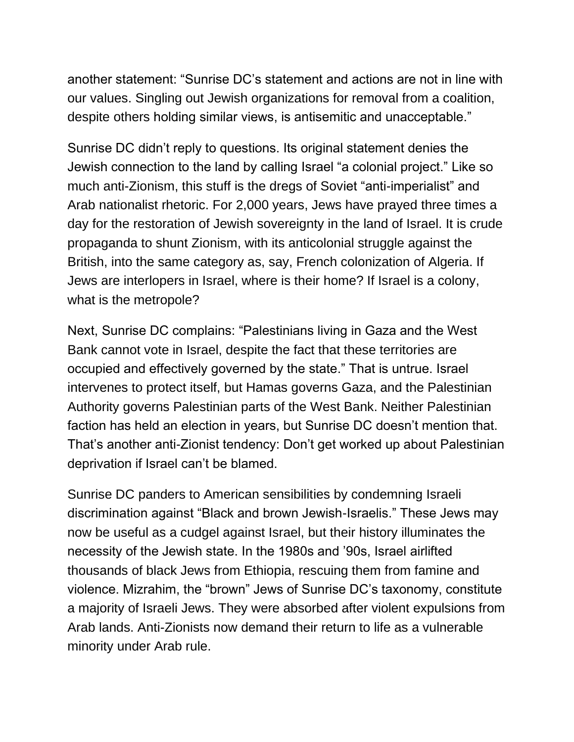another statement: "Sunrise DC's statement and actions are not in line with our values. Singling out Jewish organizations for removal from a coalition, despite others holding similar views, is antisemitic and unacceptable."

Sunrise DC didn't reply to questions. Its original statement denies the Jewish connection to the land by calling Israel "a colonial project." Like so much anti-Zionism, this stuff is the dregs of Soviet "anti-imperialist" and Arab nationalist rhetoric. For 2,000 years, Jews have prayed three times a day for the restoration of Jewish sovereignty in the land of Israel. It is crude propaganda to shunt Zionism, with its anticolonial struggle against the British, into the same category as, say, French colonization of Algeria. If Jews are interlopers in Israel, where is their home? If Israel is a colony, what is the metropole?

Next, Sunrise DC complains: "Palestinians living in Gaza and the West Bank cannot vote in Israel, despite the fact that these territories are occupied and effectively governed by the state." That is untrue. Israel intervenes to protect itself, but Hamas governs Gaza, and the Palestinian Authority governs Palestinian parts of the West Bank. Neither Palestinian faction has held an election in years, but Sunrise DC doesn't mention that. That's another anti-Zionist tendency: Don't get worked up about Palestinian deprivation if Israel can't be blamed.

Sunrise DC panders to American sensibilities by condemning Israeli discrimination against "Black and brown Jewish-Israelis." These Jews may now be useful as a cudgel against Israel, but their history illuminates the necessity of the Jewish state. In the 1980s and '90s, Israel airlifted thousands of black Jews from Ethiopia, rescuing them from famine and violence. Mizrahim, the "brown" Jews of Sunrise DC's taxonomy, constitute a majority of Israeli Jews. They were absorbed after violent expulsions from Arab lands. Anti-Zionists now demand their return to life as a vulnerable minority under Arab rule.